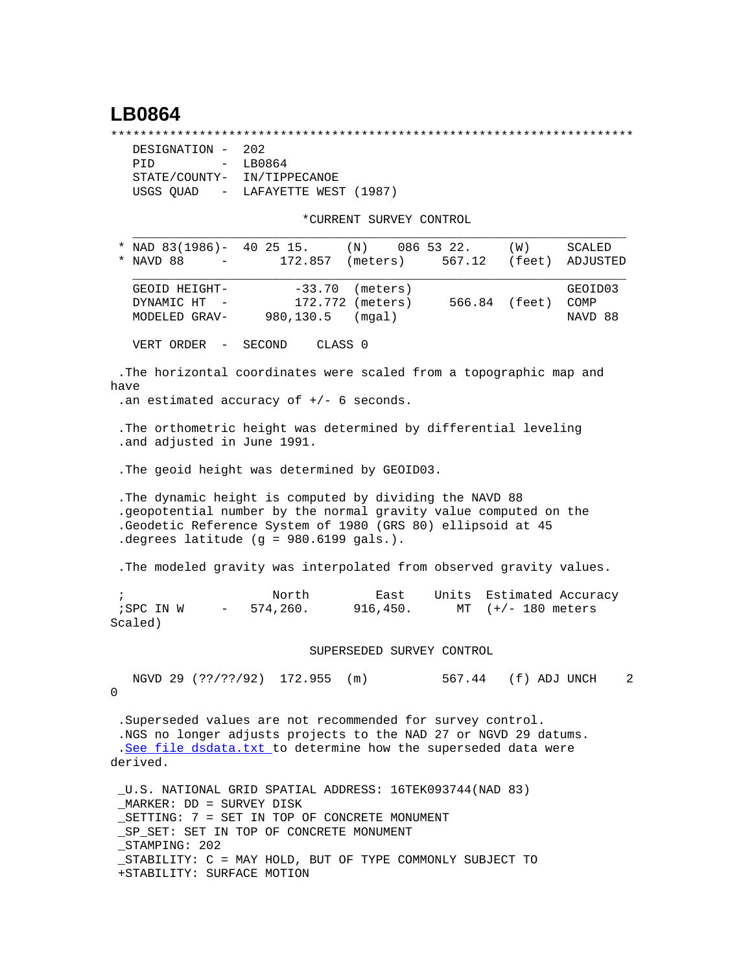## **LB0864**

\*\*\*\*\*\*\*\*\*\*\*\*\*\*\*\*\*\*\*\*\*\*\*\*\*\*\*\*\*\*\*\*\*\*\*\*\*\*\*\*\*\*\*\*\*\*\*\*\*\*\*\*\*\*\*\*\*\*\*\*\*\*\*\*\*\*\*\*\*\*\*

| DESIGNATION - 202           |                                   |
|-----------------------------|-----------------------------------|
| PTD                         | $-$ LB0864                        |
| STATE/COUNTY- IN/TIPPECANOE |                                   |
|                             | USGS OUAD - LAFAYETTE WEST (1987) |

\*CURRENT SURVEY CONTROL

|                                                                                                                                                                                                                                                                                             |                            | CONNERI DORVEI CONINOI                 |             |                      |                            |
|---------------------------------------------------------------------------------------------------------------------------------------------------------------------------------------------------------------------------------------------------------------------------------------------|----------------------------|----------------------------------------|-------------|----------------------|----------------------------|
| * NAD $83(1986)$ - 40 25 15.<br>NAVD 88                                                                                                                                                                                                                                                     | 172.857                    | (N)<br>(meters)                        | 086 53 22.  | (W)<br>567.12 (feet) | SCALED<br>ADJUSTED         |
| GEOID HEIGHT-<br>DYNAMIC HT<br>MODELED GRAV-                                                                                                                                                                                                                                                | $-33.70$<br>980,130.5      | (meters)<br>172.772 (meters)<br>(mgal) |             | 566.84 (feet)        | GEOID03<br>COMP<br>NAVD 88 |
| VERT ORDER - SECOND                                                                                                                                                                                                                                                                         |                            | CLASS 0                                |             |                      |                            |
| .The horizontal coordinates were scaled from a topographic map and<br>have<br>.an estimated accuracy of $+/-$ 6 seconds.                                                                                                                                                                    |                            |                                        |             |                      |                            |
| . The orthometric height was determined by differential leveling<br>.and adjusted in June 1991.                                                                                                                                                                                             |                            |                                        |             |                      |                            |
| . The geoid height was determined by GEOID03.                                                                                                                                                                                                                                               |                            |                                        |             |                      |                            |
| . The dynamic height is computed by dividing the NAVD 88<br>.geopotential number by the normal gravity value computed on the<br>.Geodetic Reference System of 1980 (GRS 80) ellipsoid at 45<br>. degrees latitude $(g = 980.6199$ gals.).                                                   |                            |                                        |             |                      |                            |
| . The modeled gravity was interpolated from observed gravity values.                                                                                                                                                                                                                        |                            |                                        |             |                      |                            |
| $\ddot{i}$<br>$i$ SPC IN W $-$<br>Scaled)                                                                                                                                                                                                                                                   | North<br>574,260.          | East<br>916,450.                       | Units<br>MT | $(+/- 180$ meters    | Estimated Accuracy         |
|                                                                                                                                                                                                                                                                                             |                            | SUPERSEDED SURVEY CONTROL              |             |                      |                            |
| 0                                                                                                                                                                                                                                                                                           | NGVD 29 (??/??/92) 172.955 | (m)                                    | 567.44      | (f) ADJ UNCH         | 2                          |
| .Superseded values are not recommended for survey control.<br>.NGS no longer adjusts projects to the NAD 27 or NGVD 29 datums.<br>.See file dsdata.txt to determine how the superseded data were<br>derived.                                                                                |                            |                                        |             |                      |                            |
| _U.S. NATIONAL GRID SPATIAL ADDRESS: 16TEK093744(NAD 83)<br>MARKER: DD = SURVEY DISK<br>SETTING: 7 = SET IN TOP OF CONCRETE MONUMENT<br>SP SET: SET IN TOP OF CONCRETE MONUMENT<br>STAMPING: 202<br>_STABILITY: C = MAY HOLD, BUT OF TYPE COMMONLY SUBJECT TO<br>+STABILITY: SURFACE MOTION |                            |                                        |             |                      |                            |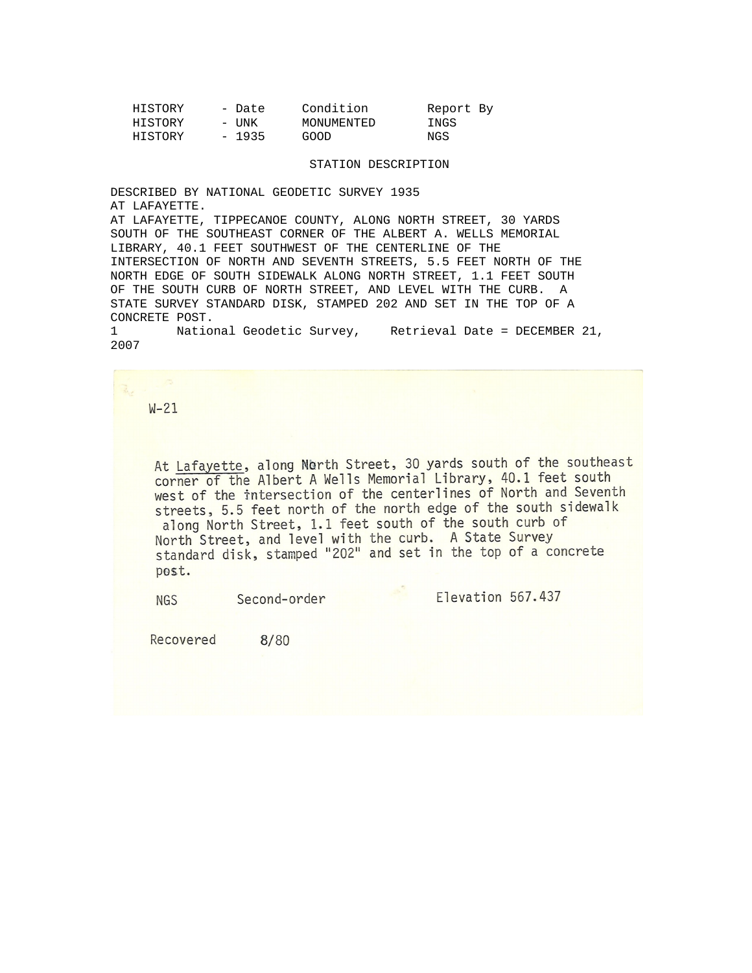| HISTORY | - Date  | Condition  | Report By |
|---------|---------|------------|-----------|
| HISTORY | – UNK   | MONUMENTED | INGS      |
| HISTORY | $-1935$ | GOOD       | NGS       |

## STATION DESCRIPTION

DESCRIBED BY NATIONAL GEODETIC SURVEY 1935 AT LAFAYETTE. AT LAFAYETTE, TIPPECANOE COUNTY, ALONG NORTH STREET, 30 YARDS SOUTH OF THE SOUTHEAST CORNER OF THE ALBERT A. WELLS MEMORIAL LIBRARY, 40.1 FEET SOUTHWEST OF THE CENTERLINE OF THE INTERSECTION OF NORTH AND SEVENTH STREETS, 5.5 FEET NORTH OF THE NORTH EDGE OF SOUTH SIDEWALK ALONG NORTH STREET, 1.1 FEET SOUTH OF THE SOUTH CURB OF NORTH STREET, AND LEVEL WITH THE CURB. A STATE SURVEY STANDARD DISK, STAMPED 202 AND SET IN THE TOP OF A CONCRETE POST.

1 National Geodetic Survey, Retrieval Date = DECEMBER 21, 2007

 $W-21$ 

At Lafayette, along North Street, 30 yards south of the southeast corner of the Albert A Wells Memorial Library, 40.1 feet south west of the intersection of the centerlines of North and Seventh streets, 5.5 feet north of the north edge of the south sidewalk along North Street, 1.1 feet south of the south curb of North Street, and level with the curb. A State Survey standard disk, stamped "202" and set in the top of a concrete post.

Second-order **NGS** 

Elevation 567.437

Recovered  $8/80$